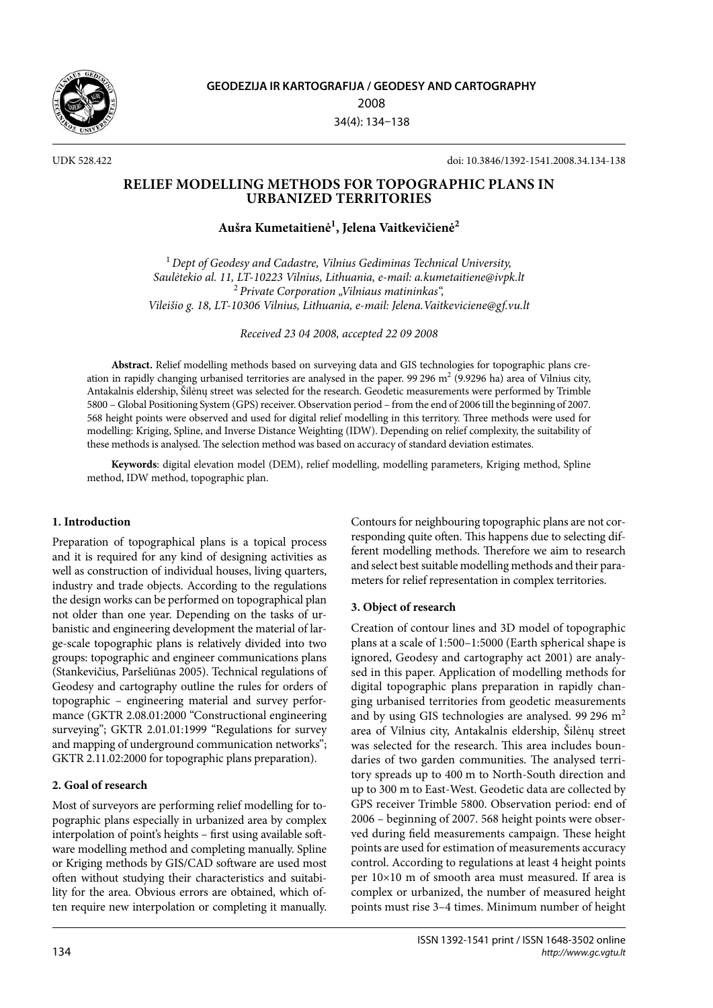

UDK 528.422 doi: 10.3846/1392-1541.2008.34.134-138

## **RELIEF MODELLING METHODS FOR TOPOGRAPHIC PLANS IN URBANIZED TERRITORIES**

# **Aušra Kumetaitienė1 , Jelena Vaitkevičienė2**

<sup>1</sup>*Dept of Geodesy and Cadastre, Vilnius Gediminas Technical University, Saulėtekio al. 11, LT-10223 Vilnius, Lithuania, e-mail: a.kumetaitiene@ivpk.lt* <sup>2</sup>*Private Corporation "Vilniaus matininkas", Vileišio g. 18, LT-10306 Vilnius, Lithuania, e-mail: Jelena.Vaitkeviciene@gf.vu.lt*

*Received 23 04 2008, accepted 22 09 2008*

**Abstract.** Relief modelling methods based on surveying data and GIS technologies for topographic plans creation in rapidly changing urbanised territories are analysed in the paper. 99 296 m<sup>2</sup> (9.9296 ha) area of Vilnius city, Antakalnis eldership, Šilėnų street was selected for the research. Geodetic measurements were performed by Trimble 5800 – Global Positioning System (GPS) receiver. Observation period – from the end of 2006 till the beginning of 2007. 568 height points were observed and used for digital relief modelling in this territory. Three methods were used for modelling: Kriging, Spline, and Inverse Distance Weighting (IDW). Depending on relief complexity, the suitability of these methods is analysed. The selection method was based on accuracy of standard deviation estimates.

**Keywords**: digital elevation model (DEM), relief modelling, modelling parameters, Kriging method, Spline method, IDW method, topographic plan.

## **1. Introduction**

Preparation of topographical plans is a topical process and it is required for any kind of designing activities as well as construction of individual houses, living quarters, industry and trade objects. According to the regulations the design works can be performed on topographical plan not older than one year. Depending on the tasks of urbanistic and engineering development the material of large-scale topographic plans is relatively divided into two groups: topographic and engineer communications plans (Stankevičius, Paršeliūnas 2005). Technical regulations of Geodesy and cartography outline the rules for orders of topographic – engineering material and survey performance (GKTR 2.08.01:2000 "Constructional engineering surveying"; GKTR 2.01.01:1999 "Regulations for survey and mapping of underground communication networks"; GKTR 2.11.02:2000 for topographic plans preparation).

## **2. Goal of research**

Most of surveyors are performing relief modelling for topographic plans especially in urbanized area by complex interpolation of point's heights – first using available software modelling method and completing manually. Spline or Kriging methods by GIS/CAD software are used most often without studying their characteristics and suitability for the area. Obvious errors are obtained, which often require new interpolation or completing it manually. Contours for neighbouring topographic plans are not corresponding quite often. This happens due to selecting different modelling methods. Therefore we aim to research and select best suitable modelling methods and their parameters for relief representation in complex territories.

## **3. Object of research**

Creation of contour lines and 3D model of topographic plans at a scale of 1:500–1:5000 (Earth spherical shape is ignored, Geodesy and cartography act 2001) are analysed in this paper. Application of modelling methods for digital topographic plans preparation in rapidly changing urbanised territories from geodetic measurements and by using GIS technologies are analysed. 99 296  $m<sup>2</sup>$ area of Vilnius city, Antakalnis eldership, Šilėnų street was selected for the research. This area includes boundaries of two garden communities. The analysed territory spreads up to 400 m to North-South direction and up to 300 m to East-West. Geodetic data are collected by GPS receiver Trimble 5800. Observation period: end of 2006 – beginning of 2007. 568 height points were observed during field measurements campaign. These height points are used for estimation of measurements accuracy control. According to regulations at least 4 height points per 10×10 m of smooth area must measured. If area is complex or urbanized, the number of measured height points must rise 3–4 times. Minimum number of height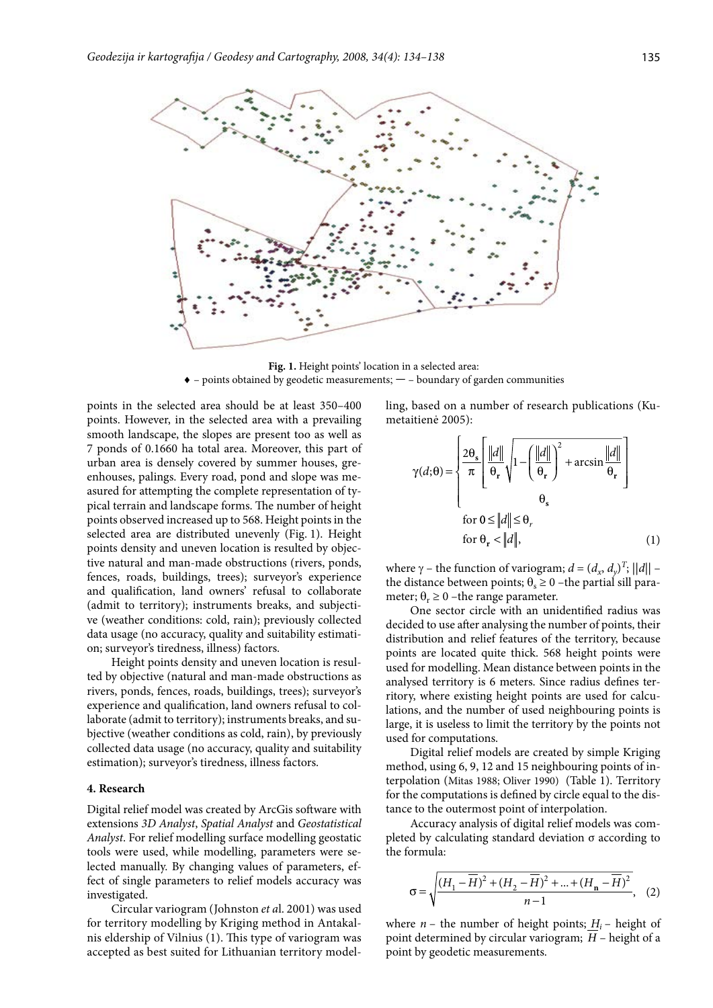

**Fig. 1.** Height points' location in a selected area: ♦ – points obtained by geodetic measurements; **—** – boundary of garden communities

points in the selected area should be at least 350–400 points. However, in the selected area with a prevailing smooth landscape, the slopes are present too as well as 7 ponds of 0.1660 ha total area. Moreover, this part of urban area is densely covered by summer houses, greenhouses, palings. Every road, pond and slope was measured for attempting the complete representation of typical terrain and landscape forms. The number of height points observed increased up to 568. Height points in the selected area are distributed unevenly (Fig. 1). Height points density and uneven location is resulted by objective natural and man-made obstructions (rivers, ponds, fences, roads, buildings, trees); surveyor's experience and qualification, land owners' refusal to collaborate (admit to territory); instruments breaks, and subjective (weather conditions: cold, rain); previously collected data usage (no accuracy, quality and suitability estimation; surveyor's tiredness, illness) factors.

Height points density and uneven location is resulted by objective (natural and man-made obstructions as rivers, ponds, fences, roads, buildings, trees); surveyor's experience and qualification, land owners refusal to collaborate (admit to territory); instruments breaks, and subjective (weather conditions as cold, rain), by previously collected data usage (no accuracy, quality and suitability estimation); surveyor's tiredness, illness factors.

### **4. Research**

Digital relief model was created by ArcGis software with extensions *3D Analyst*, *Spatial Analyst* and *Geostatistical Analyst*. For relief modelling surface modelling geostatic tools were used, while modelling, parameters were selected manually. By changing values of parameters, effect of single parameters to relief models accuracy was investigated.

Circular variogram (Johnston *et a*l. 2001) was used for territory modelling by Kriging method in Antakalnis eldership of Vilnius (1). This type of variogram was accepted as best suited for Lithuanian territory modelling, based on a number of research publications (Kumetaitienė 2005):

$$
\gamma(d; \theta) = \begin{cases} \frac{2\theta_s}{\pi} \left[ \frac{\|d\|}{\theta_r} \sqrt{1 - \left( \frac{\|d\|}{\theta_r} \right)^2 + \arcsin \frac{\|d\|}{\theta_r}} \right] \\ \theta_s \\ \text{for } 0 \le \frac{\|d\|}{\theta_r} \le \theta_r \\ \text{for } \theta_r < \|d\|, \end{cases} \tag{1}
$$

where  $\gamma$  – the function of variogram;  $d = (d_x, d_y)^T$ ;  $||d||$  – the distance between points;  $\theta_s \ge 0$  –the partial sill parameter;  $\theta_r \ge 0$  –the range parameter.

One sector circle with an unidentified radius was decided to use after analysing the number of points, their distribution and relief features of the territory, because points are located quite thick. 568 height points were used for modelling. Mean distance between points in the analysed territory is 6 meters. Since radius defines territory, where existing height points are used for calculations, and the number of used neighbouring points is large, it is useless to limit the territory by the points not used for computations.

Digital relief models are created by simple Kriging method, using 6, 9, 12 and 15 neighbouring points of interpolation (Mitas 1988; Oliver 1990) (Table 1). Territory for the computations is defined by circle equal to the distance to the outermost point of interpolation.

Accuracy analysis of digital relief models was completed by calculating standard deviation σ according to the formula:

$$
\sigma = \sqrt{\frac{(H_1 - \overline{H})^2 + (H_2 - \overline{H})^2 + \dots + (H_n - \overline{H})^2}{n - 1}}, \quad (2)
$$

where  $n -$  the number of height points;  $H_i$  – height of point determined by circular variogram;  $\overline{H}$  – height of a point by geodetic measurements.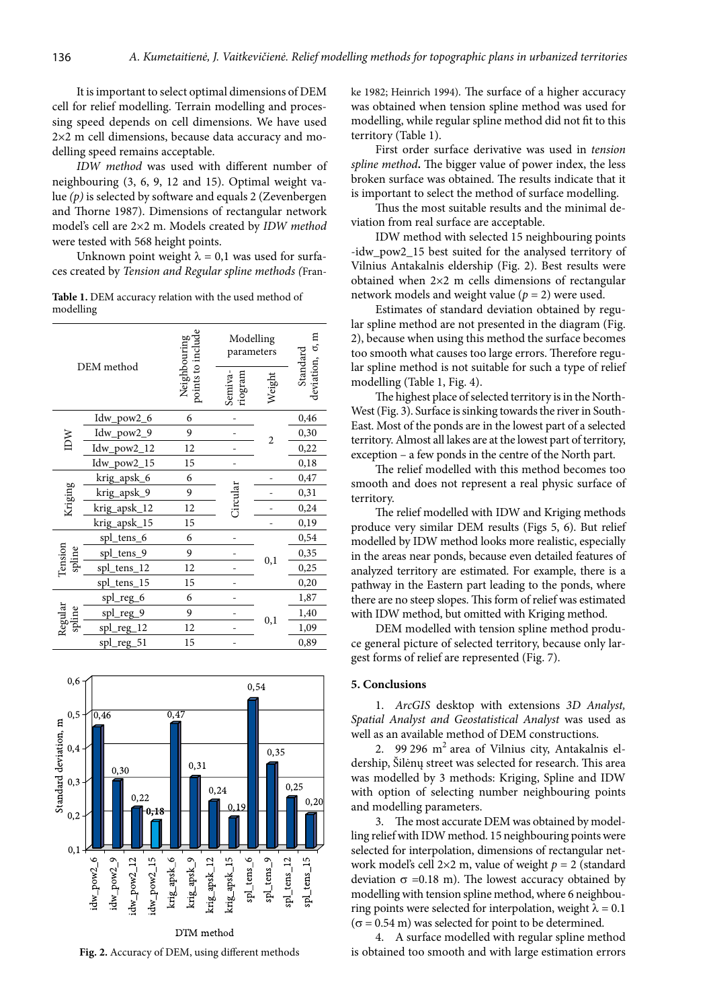It is important to select optimal dimensions of DEM cell for relief modelling. Terrain modelling and processing speed depends on cell dimensions. We have used 2×2 m cell dimensions, because data accuracy and modelling speed remains acceptable.

*IDW method* was used with different number of neighbouring (3, 6, 9, 12 and 15). Optimal weight value *(p)* is selected by software and equals 2 (Zevenbergen and Thorne 1987). Dimensions of rectangular network model's cell are 2×2 m. Models created by *IDW method* were tested with 568 height points.

Unknown point weight  $\lambda = 0.1$  was used for surfaces created by *Tension and Regular spline methods (*Fran-

**Table 1.** DEM accuracy relation with the used method of modelling

| DEM method        |               | points to include<br>Neighbouring | Modelling<br>parameters |          | deviation, σ, m<br>Standard |
|-------------------|---------------|-----------------------------------|-------------------------|----------|-----------------------------|
|                   |               |                                   | Semiva-<br>riogram      | Weight   |                             |
| IDW               | Idw_pow2_6    | 6                                 |                         | 2        | 0,46                        |
|                   | Idw_pow2_9    | 9                                 |                         |          | 0,30                        |
|                   | $Idw_pow2_12$ | 12                                |                         |          | 0,22                        |
|                   | Idw_pow2_15   | 15                                |                         |          | 0,18                        |
| Kriging           | krig_apsk_6   | 6                                 |                         |          | 0,47                        |
|                   | krig_apsk_9   | 9                                 | Circular                |          | 0,31                        |
|                   | krig_apsk_12  | 12                                |                         |          | 0,24                        |
|                   | krig_apsk_15  | 15                                |                         |          | 0,19                        |
| Tension<br>spline | spl_tens_6    | 6                                 |                         | $_{0,1}$ | 0,54                        |
|                   | spl_tens_9    | 9                                 |                         |          | 0,35                        |
|                   | spl_tens_12   | 12                                |                         |          | 0,25                        |
|                   | spl_tens_15   | 15                                |                         |          | 0,20                        |
| Regular<br>spline | spl_reg_6     | 6                                 |                         | $_{0,1}$ | 1,87                        |
|                   | spl_reg_9     | 9                                 |                         |          | 1,40                        |
|                   | spl_reg_12    | 12                                |                         |          | 1,09                        |
|                   | spl_reg_51    | 15                                |                         |          | 0,89                        |



**Fig. 2.** Accuracy of DEM, using different methods

ke 1982; Heinrich 1994)*.* The surface of a higher accuracy was obtained when tension spline method was used for modelling, while regular spline method did not fit to this territory (Table 1).

First order surface derivative was used in *tension spline method***.** The bigger value of power index, the less broken surface was obtained. The results indicate that it is important to select the method of surface modelling.

Thus the most suitable results and the minimal deviation from real surface are acceptable.

IDW method with selected 15 neighbouring points -idw\_pow2\_15 best suited for the analysed territory of Vilnius Antakalnis eldership (Fig. 2). Best results were obtained when 2×2 m cells dimensions of rectangular network models and weight value  $(p = 2)$  were used.

Estimates of standard deviation obtained by regular spline method are not presented in the diagram (Fig. 2), because when using this method the surface becomes too smooth what causes too large errors. Therefore regular spline method is not suitable for such a type of relief modelling (Table 1, Fig. 4).

The highest place of selected territory is in the North-West (Fig. 3). Surface is sinking towards the river in South-East. Most of the ponds are in the lowest part of a selected territory. Almost all lakes are at the lowest part of territory, exception – a few ponds in the centre of the North part.

The relief modelled with this method becomes too smooth and does not represent a real physic surface of territory.

The relief modelled with IDW and Kriging methods produce very similar DEM results (Figs 5, 6). But relief modelled by IDW method looks more realistic, especially in the areas near ponds, because even detailed features of analyzed territory are estimated. For example, there is a pathway in the Eastern part leading to the ponds, where there are no steep slopes. This form of relief was estimated with IDW method, but omitted with Kriging method.

DEM modelled with tension spline method produce general picture of selected territory, because only largest forms of relief are represented (Fig. 7).

#### **5. Conclusions**

1. *ArcGIS* desktop with extensions *3D Analyst, Spatial Analyst and Geostatistical Analyst* was used as well as an available method of DEM constructions.

2. 99 296  $m<sup>2</sup>$  area of Vilnius city, Antakalnis eldership, Šilėnų street was selected for research. This area was modelled by 3 methods: Kriging, Spline and IDW with option of selecting number neighbouring points and modelling parameters.

3. The most accurate DEM was obtained by modelling relief with IDW method. 15 neighbouring points were selected for interpolation, dimensions of rectangular network model's cell 2×2 m, value of weight *p* = 2 (standard deviation  $\sigma$  =0.18 m). The lowest accuracy obtained by modelling with tension spline method, where 6 neighbouring points were selected for interpolation, weight  $\lambda = 0.1$  $(\sigma = 0.54 \text{ m})$  was selected for point to be determined.

4. A surface modelled with regular spline method is obtained too smooth and with large estimation errors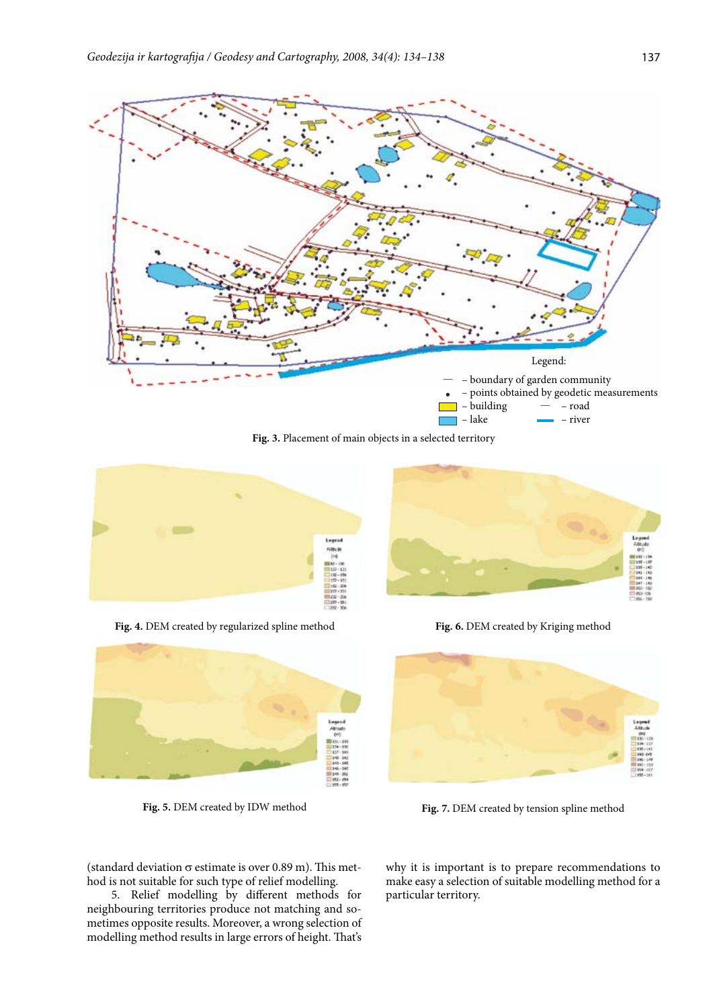

**Fig. 3.** Placement of main objects in a selected territory



**Fig. 4.** DEM created by regularized spline method



**Fig. 5.** DEM created by IDW method



**Fig. 6.** DEM created by Kriging method



**Fig. 7.** DEM created by tension spline method

(standard deviation  $\sigma$  estimate is over 0.89 m). This method is not suitable for such type of relief modelling.

5. Relief modelling by different methods for neighbouring territories produce not matching and sometimes opposite results. Moreover, a wrong selection of modelling method results in large errors of height. That's why it is important is to prepare recommendations to make easy a selection of suitable modelling method for a particular territory.